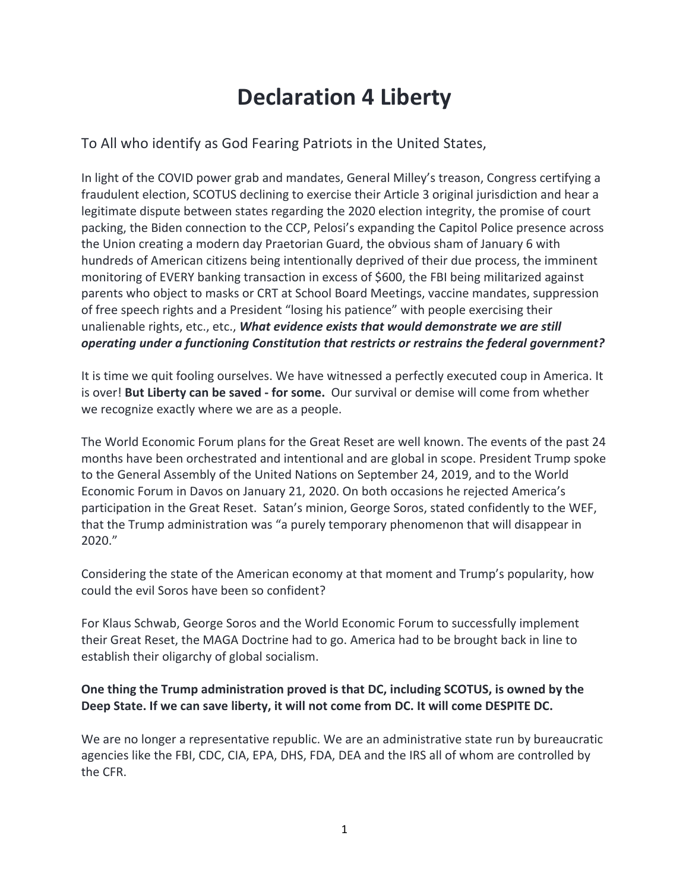# **Declaration 4 Liberty**

To All who identify as God Fearing Patriots in the United States,

In light of the COVID power grab and mandates, General Milley's treason, Congress certifying a fraudulent election, SCOTUS declining to exercise their Article 3 original jurisdiction and hear a legitimate dispute between states regarding the 2020 election integrity, the promise of court packing, the Biden connection to the CCP, Pelosi's expanding the Capitol Police presence across the Union creating a modern day Praetorian Guard, the obvious sham of January 6 with hundreds of American citizens being intentionally deprived of their due process, the imminent monitoring of EVERY banking transaction in excess of \$600, the FBI being militarized against parents who object to masks or CRT at School Board Meetings, vaccine mandates, suppression of free speech rights and a President "losing his patience" with people exercising their unalienable rights, etc., etc., *What evidence exists that would demonstrate we are still operating under a functioning Constitution that restricts or restrains the federal government?*

It is time we quit fooling ourselves. We have witnessed a perfectly executed coup in America. It is over! **But Liberty can be saved - for some.** Our survival or demise will come from whether we recognize exactly where we are as a people.

The World Economic Forum plans for the Great Reset are well known. The events of the past 24 months have been orchestrated and intentional and are global in scope. President Trump spoke to the General Assembly of the United Nations on September 24, 2019, and to the World Economic Forum in Davos on January 21, 2020. On both occasions he rejected America's participation in the Great Reset. Satan's minion, George Soros, stated confidently to the WEF, that the Trump administration was "a purely temporary phenomenon that will disappear in 2020."

Considering the state of the American economy at that moment and Trump's popularity, how could the evil Soros have been so confident?

For Klaus Schwab, George Soros and the World Economic Forum to successfully implement their Great Reset, the MAGA Doctrine had to go. America had to be brought back in line to establish their oligarchy of global socialism.

## **One thing the Trump administration proved is that DC, including SCOTUS, is owned by the Deep State. If we can save liberty, it will not come from DC. It will come DESPITE DC.**

We are no longer a representative republic. We are an administrative state run by bureaucratic agencies like the FBI, CDC, CIA, EPA, DHS, FDA, DEA and the IRS all of whom are controlled by the CFR.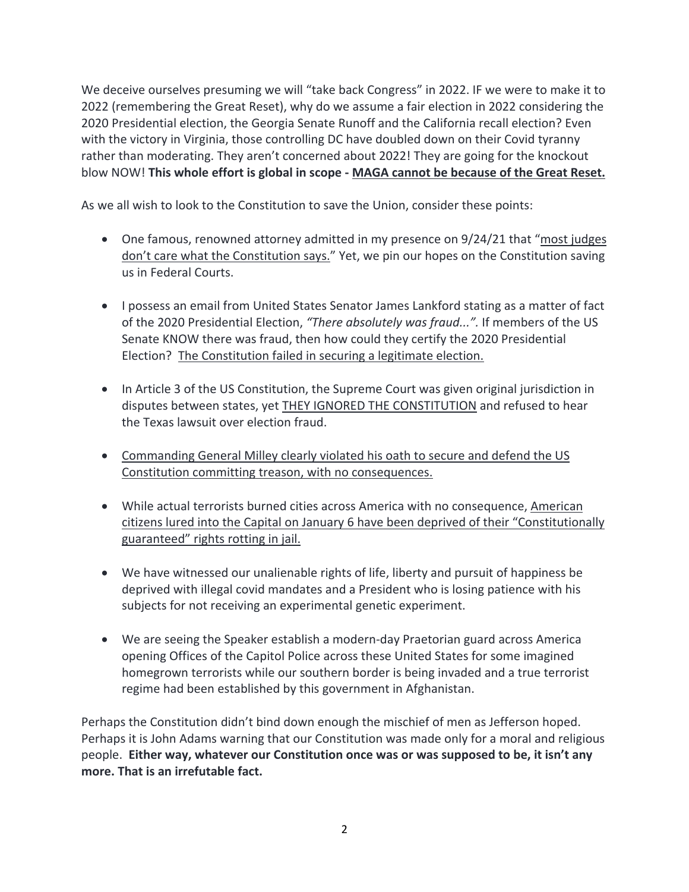We deceive ourselves presuming we will "take back Congress" in 2022. IF we were to make it to 2022 (remembering the Great Reset), why do we assume a fair election in 2022 considering the 2020 Presidential election, the Georgia Senate Runoff and the California recall election? Even with the victory in Virginia, those controlling DC have doubled down on their Covid tyranny rather than moderating. They aren't concerned about 2022! They are going for the knockout blow NOW! **This whole effort is global in scope - MAGA cannot be because of the Great Reset.**

As we all wish to look to the Constitution to save the Union, consider these points:

- One famous, renowned attorney admitted in my presence on 9/24/21 that "most judges" don't care what the Constitution says." Yet, we pin our hopes on the Constitution saving us in Federal Courts.
- I possess an email from United States Senator James Lankford stating as a matter of fact of the 2020 Presidential Election, *"There absolutely was fraud...".* If members of the US Senate KNOW there was fraud, then how could they certify the 2020 Presidential Election? The Constitution failed in securing a legitimate election.
- In Article 3 of the US Constitution, the Supreme Court was given original jurisdiction in disputes between states, yet THEY IGNORED THE CONSTITUTION and refused to hear the Texas lawsuit over election fraud.
- Commanding General Milley clearly violated his oath to secure and defend the US Constitution committing treason, with no consequences.
- While actual terrorists burned cities across America with no consequence, American citizens lured into the Capital on January 6 have been deprived of their "Constitutionally guaranteed" rights rotting in jail.
- We have witnessed our unalienable rights of life, liberty and pursuit of happiness be deprived with illegal covid mandates and a President who is losing patience with his subjects for not receiving an experimental genetic experiment.
- We are seeing the Speaker establish a modern-day Praetorian guard across America opening Offices of the Capitol Police across these United States for some imagined homegrown terrorists while our southern border is being invaded and a true terrorist regime had been established by this government in Afghanistan.

Perhaps the Constitution didn't bind down enough the mischief of men as Jefferson hoped. Perhaps it is John Adams warning that our Constitution was made only for a moral and religious people. **Either way, whatever our Constitution once was or was supposed to be, it isn't any more. That is an irrefutable fact.**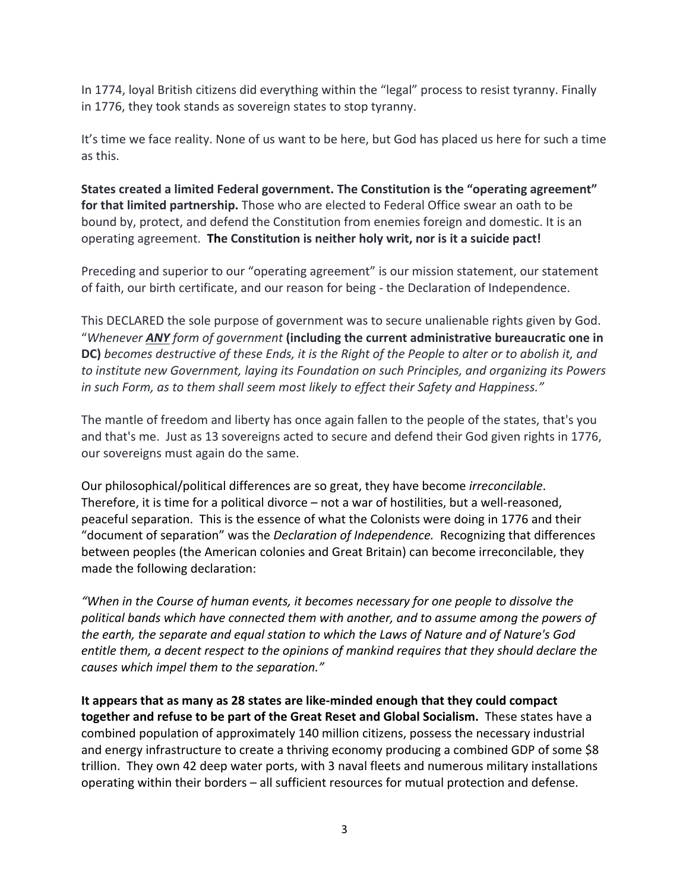In 1774, loyal British citizens did everything within the "legal" process to resist tyranny. Finally in 1776, they took stands as sovereign states to stop tyranny.

It's time we face reality. None of us want to be here, but God has placed us here for such a time as this.

**States created a limited Federal government. The Constitution is the "operating agreement" for that limited partnership.** Those who are elected to Federal Office swear an oath to be bound by, protect, and defend the Constitution from enemies foreign and domestic. It is an operating agreement. **The Constitution is neither holy writ, nor is it a suicide pact!**

Preceding and superior to our "operating agreement" is our mission statement, our statement of faith, our birth certificate, and our reason for being - the Declaration of Independence.

This DECLARED the sole purpose of government was to secure unalienable rights given by God. "*Whenever ANY form of government* **(including the current administrative bureaucratic one in DC)** *becomes destructive of these Ends, it is the Right of the People to alter or to abolish it, and to institute new Government, laying its Foundation on such Principles, and organizing its Powers in such Form, as to them shall seem most likely to effect their Safety and Happiness."*

The mantle of freedom and liberty has once again fallen to the people of the states, that's you and that's me. Just as 13 sovereigns acted to secure and defend their God given rights in 1776, our sovereigns must again do the same.

Our philosophical/political differences are so great, they have become *irreconcilable*. Therefore, it is time for a political divorce – not a war of hostilities, but a well-reasoned, peaceful separation. This is the essence of what the Colonists were doing in 1776 and their "document of separation" was the *Declaration of Independence.* Recognizing that differences between peoples (the American colonies and Great Britain) can become irreconcilable, they made the following declaration:

*"When in the Course of human events, it becomes necessary for one people to dissolve the political bands which have connected them with another, and to assume among the powers of the earth, the separate and equal station to which the Laws of Nature and of Nature's God entitle them, a decent respect to the opinions of mankind requires that they should declare the causes which impel them to the separation."*

**It appears that as many as 28 states are like-minded enough that they could compact together and refuse to be part of the Great Reset and Global Socialism.** These states have a combined population of approximately 140 million citizens, possess the necessary industrial and energy infrastructure to create a thriving economy producing a combined GDP of some \$8 trillion. They own 42 deep water ports, with 3 naval fleets and numerous military installations operating within their borders – all sufficient resources for mutual protection and defense.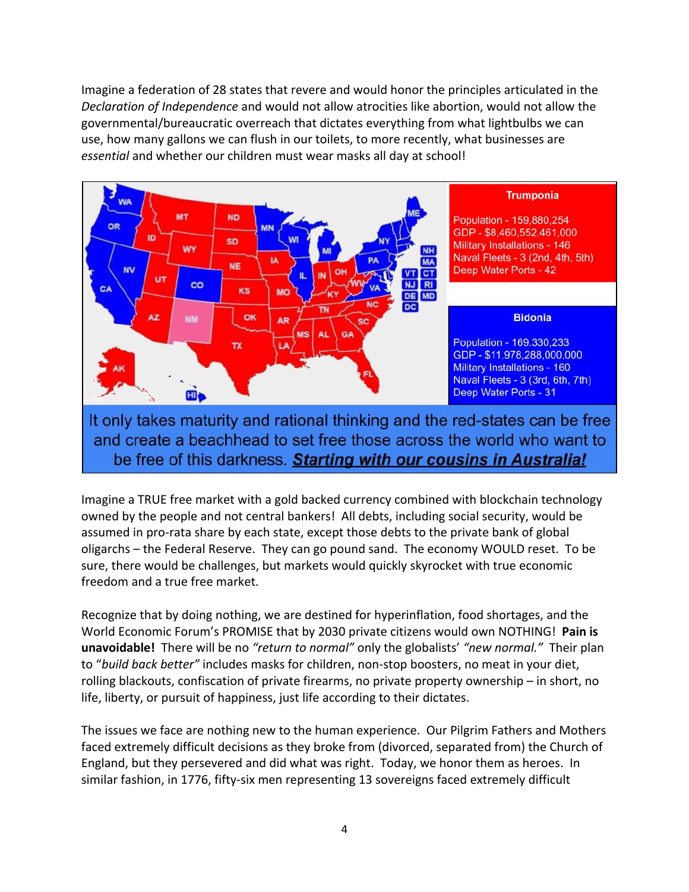Imagine a federation of 28 states that revere and would honor the principles articulated in the *Declaration of Independence* and would not allow atrocities like abortion, would not allow the governmental/bureaucratic overreach that dictates everything from what lightbulbs we can use, how many gallons we can flush in our toilets, to more recently, what businesses are *essential* and whether our children must wear masks all day at school!



It only takes maturity and rational thinking and the red-states can be free and create a beachhead to set free those across the world who want to be free of this darkness. Starting with our cousins in Australia!

Imagine a TRUE free market with a gold backed currency combined with blockchain technology owned by the people and not central bankers! All debts, including social security, would be assumed in pro-rata share by each state, except those debts to the private bank of global oligarchs – the Federal Reserve. They can go pound sand. The economy WOULD reset. To be sure, there would be challenges, but markets would quickly skyrocket with true economic freedom and a true free market.

Recognize that by doing nothing, we are destined for hyperinflation, food shortages, and the World Economic Forum's PROMISE that by 2030 private citizens would own NOTHING! **Pain is unavoidable!** There will be no *"return to normal"* only the globalists' *"new normal."* Their plan to "*build back better"* includes masks for children, non-stop boosters, no meat in your diet, rolling blackouts, confiscation of private firearms, no private property ownership – in short, no life, liberty, or pursuit of happiness, just life according to their dictates.

The issues we face are nothing new to the human experience. Our Pilgrim Fathers and Mothers faced extremely difficult decisions as they broke from (divorced, separated from) the Church of England, but they persevered and did what was right. Today, we honor them as heroes. In similar fashion, in 1776, fifty-six men representing 13 sovereigns faced extremely difficult